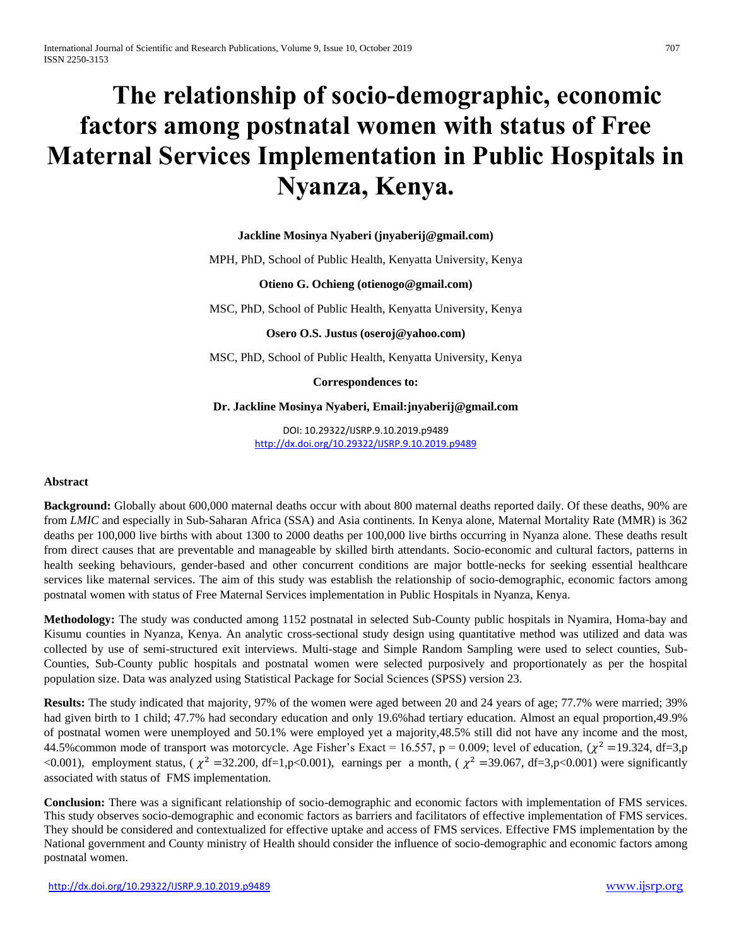# **The relationship of socio-demographic, economic factors among postnatal women with status of Free Maternal Services Implementation in Public Hospitals in Nyanza, Kenya.**

# **Jackline Mosinya Nyaberi (jnyaberij@gmail.com)**

MPH, PhD, School of Public Health, Kenyatta University, Kenya

## **Otieno G. Ochieng (otienogo@gmail.com)**

MSC, PhD, School of Public Health, Kenyatta University, Kenya

**Osero O.S. Justus (oseroj@yahoo.com)**

MSC, PhD, School of Public Health, Kenyatta University, Kenya

**Correspondences to:**

## **Dr. Jackline Mosinya Nyaberi, Email:jnyaberij@gmail.com**

DOI: 10.29322/IJSRP.9.10.2019.p9489 <http://dx.doi.org/10.29322/IJSRP.9.10.2019.p9489>

## **Abstract**

**Background:** Globally about 600,000 maternal deaths occur with about 800 maternal deaths reported daily. Of these deaths, 90% are from *LMIC* and especially in Sub-Saharan Africa (SSA) and Asia continents. In Kenya alone, Maternal Mortality Rate (MMR) is 362 deaths per 100,000 live births with about 1300 to 2000 deaths per 100,000 live births occurring in Nyanza alone. These deaths result from direct causes that are preventable and manageable by skilled birth attendants. Socio-economic and cultural factors, patterns in health seeking behaviours, gender-based and other concurrent conditions are major bottle-necks for seeking essential healthcare services like maternal services. The aim of this study was establish the relationship of socio-demographic, economic factors among postnatal women with status of Free Maternal Services implementation in Public Hospitals in Nyanza, Kenya.

**Methodology:** The study was conducted among 1152 postnatal in selected Sub-County public hospitals in Nyamira, Homa-bay and Kisumu counties in Nyanza, Kenya. An analytic cross-sectional study design using quantitative method was utilized and data was collected by use of semi-structured exit interviews. Multi-stage and Simple Random Sampling were used to select counties, Sub-Counties, Sub-County public hospitals and postnatal women were selected purposively and proportionately as per the hospital population size. Data was analyzed using Statistical Package for Social Sciences (SPSS) version 23.

**Results:** The study indicated that majority, 97% of the women were aged between 20 and 24 years of age; 77.7% were married; 39% had given birth to 1 child; 47.7% had secondary education and only 19.6%had tertiary education. Almost an equal proportion, 49.9% of postnatal women were unemployed and 50.1% were employed yet a majority,48.5% still did not have any income and the most, 44.5% common mode of transport was motorcycle. Age Fisher's Exact = 16.557,  $p = 0.009$ ; level of education,  $(\chi^2 = 19.324, df = 3, p$ <0.001), employment status, ( $\chi^2$  =32.200, df=1,p<0.001), earnings per a month, ( $\chi^2$  =39.067, df=3,p<0.001) were significantly associated with status of FMS implementation.

**Conclusion:** There was a significant relationship of socio-demographic and economic factors with implementation of FMS services. This study observes socio-demographic and economic factors as barriers and facilitators of effective implementation of FMS services. They should be considered and contextualized for effective uptake and access of FMS services. Effective FMS implementation by the National government and County ministry of Health should consider the influence of socio-demographic and economic factors among postnatal women.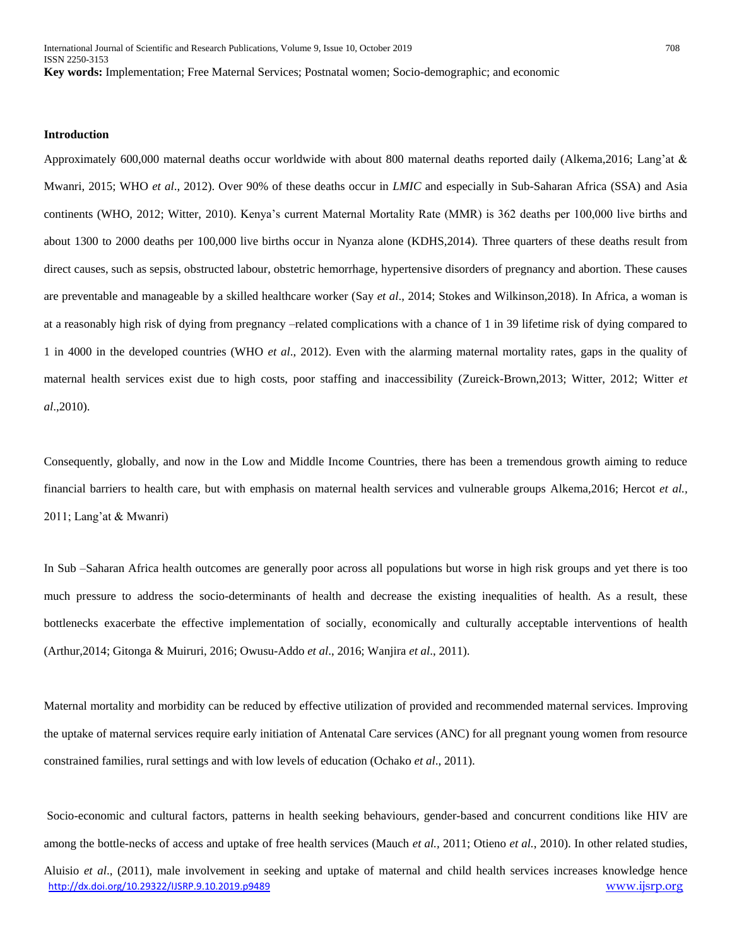#### **Introduction**

Approximately 600,000 maternal deaths occur worldwide with about 800 maternal deaths reported daily (Alkema,2016; Lang'at & Mwanri, 2015; WHO *et al*., 2012). Over 90% of these deaths occur in *LMIC* and especially in Sub-Saharan Africa (SSA) and Asia continents (WHO, 2012; Witter, 2010). Kenya's current Maternal Mortality Rate (MMR) is 362 deaths per 100,000 live births and about 1300 to 2000 deaths per 100,000 live births occur in Nyanza alone (KDHS,2014). Three quarters of these deaths result from direct causes, such as sepsis, obstructed labour, obstetric hemorrhage, hypertensive disorders of pregnancy and abortion. These causes are preventable and manageable by a skilled healthcare worker (Say *et al*., 2014; Stokes and Wilkinson,2018). In Africa, a woman is at a reasonably high risk of dying from pregnancy –related complications with a chance of 1 in 39 lifetime risk of dying compared to 1 in 4000 in the developed countries (WHO *et al*., 2012). Even with the alarming maternal mortality rates, gaps in the quality of maternal health services exist due to high costs, poor staffing and inaccessibility (Zureick-Brown,2013; Witter, 2012; Witter *et al*.,2010).

Consequently, globally, and now in the Low and Middle Income Countries, there has been a tremendous growth aiming to reduce financial barriers to health care, but with emphasis on maternal health services and vulnerable groups Alkema,2016; Hercot *et al.,* 2011; Lang'at & Mwanri)

In Sub –Saharan Africa health outcomes are generally poor across all populations but worse in high risk groups and yet there is too much pressure to address the socio-determinants of health and decrease the existing inequalities of health. As a result, these bottlenecks exacerbate the effective implementation of socially, economically and culturally acceptable interventions of health (Arthur,2014; Gitonga & Muiruri, 2016; Owusu-Addo *et al*., 2016; Wanjira *et al*., 2011).

Maternal mortality and morbidity can be reduced by effective utilization of provided and recommended maternal services. Improving the uptake of maternal services require early initiation of Antenatal Care services (ANC) for all pregnant young women from resource constrained families, rural settings and with low levels of education (Ochako *et al*., 2011).

Socio-economic and cultural factors, patterns in health seeking behaviours, gender-based and concurrent conditions like HIV are among the bottle-necks of access and uptake of free health services (Mauch *et al.,* 2011; Otieno *et al.*, 2010). In other related studies,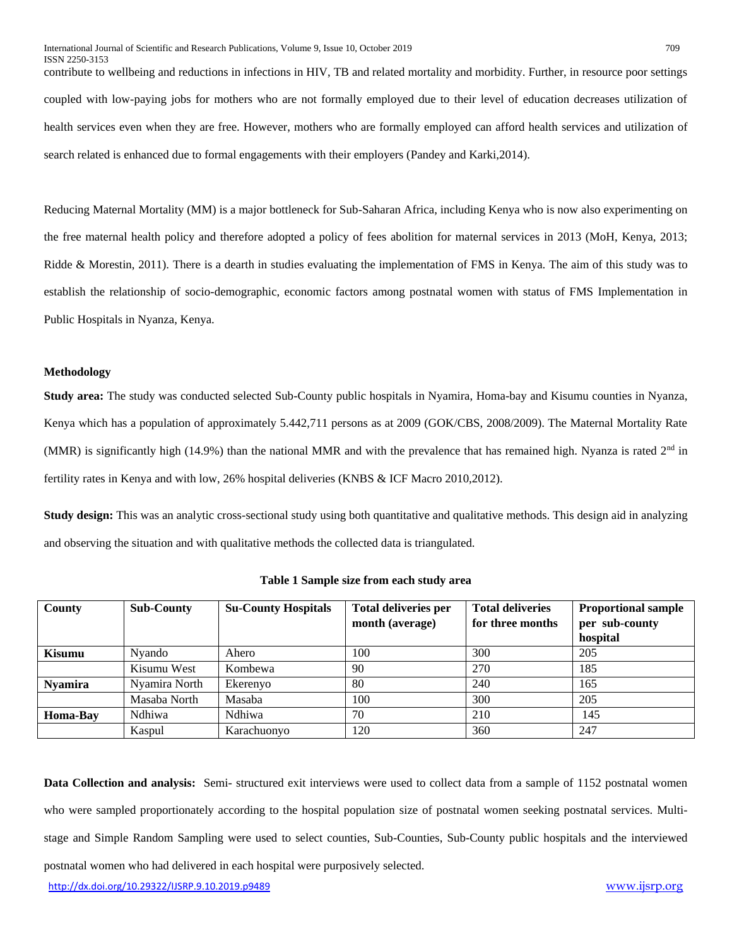contribute to wellbeing and reductions in infections in HIV, TB and related mortality and morbidity. Further, in resource poor settings coupled with low-paying jobs for mothers who are not formally employed due to their level of education decreases utilization of health services even when they are free. However, mothers who are formally employed can afford health services and utilization of search related is enhanced due to formal engagements with their employers (Pandey and Karki,2014).

Reducing Maternal Mortality (MM) is a major bottleneck for Sub-Saharan Africa, including Kenya who is now also experimenting on the free maternal health policy and therefore adopted a policy of fees abolition for maternal services in 2013 (MoH, Kenya, 2013; Ridde & Morestin, 2011). There is a dearth in studies evaluating the implementation of FMS in Kenya. The aim of this study was to establish the relationship of socio-demographic, economic factors among postnatal women with status of FMS Implementation in Public Hospitals in Nyanza, Kenya.

## **Methodology**

**Study area:** The study was conducted selected Sub-County public hospitals in Nyamira, Homa-bay and Kisumu counties in Nyanza, Kenya which has a population of approximately 5.442,711 persons as at 2009 (GOK/CBS, 2008/2009). The Maternal Mortality Rate (MMR) is significantly high (14.9%) than the national MMR and with the prevalence that has remained high. Nyanza is rated  $2<sup>nd</sup>$  in fertility rates in Kenya and with low, 26% hospital deliveries (KNBS & ICF Macro 2010,2012).

**Study design:** This was an analytic cross-sectional study using both quantitative and qualitative methods. This design aid in analyzing and observing the situation and with qualitative methods the collected data is triangulated.

| County         | <b>Sub-County</b> | <b>Su-County Hospitals</b> | <b>Total deliveries per</b><br>month (average) | <b>Total deliveries</b><br>for three months | <b>Proportional sample</b><br>per sub-county<br>hospital |
|----------------|-------------------|----------------------------|------------------------------------------------|---------------------------------------------|----------------------------------------------------------|
| Kisumu         | Nyando            | Ahero                      | 100                                            | 300                                         | 205                                                      |
|                | Kisumu West       | Kombewa                    | 90                                             | 270                                         | 185                                                      |
| <b>Nyamira</b> | Nyamira North     | Ekerenyo                   | 80                                             | 240                                         | 165                                                      |
|                | Masaba North      | Masaba                     | 100                                            | 300                                         | 205                                                      |
| Homa-Bay       | Ndhiwa            | Ndhiwa                     | 70                                             | 210                                         | 145                                                      |
|                | Kaspul            | Karachuonyo                | 120                                            | 360                                         | 247                                                      |

**Table 1 Sample size from each study area**

<http://dx.doi.org/10.29322/IJSRP.9.10.2019.p9489> [www.ijsrp.org](http://ijsrp.org/) **Data Collection and analysis:** Semi- structured exit interviews were used to collect data from a sample of 1152 postnatal women who were sampled proportionately according to the hospital population size of postnatal women seeking postnatal services. Multistage and Simple Random Sampling were used to select counties, Sub-Counties, Sub-County public hospitals and the interviewed postnatal women who had delivered in each hospital were purposively selected.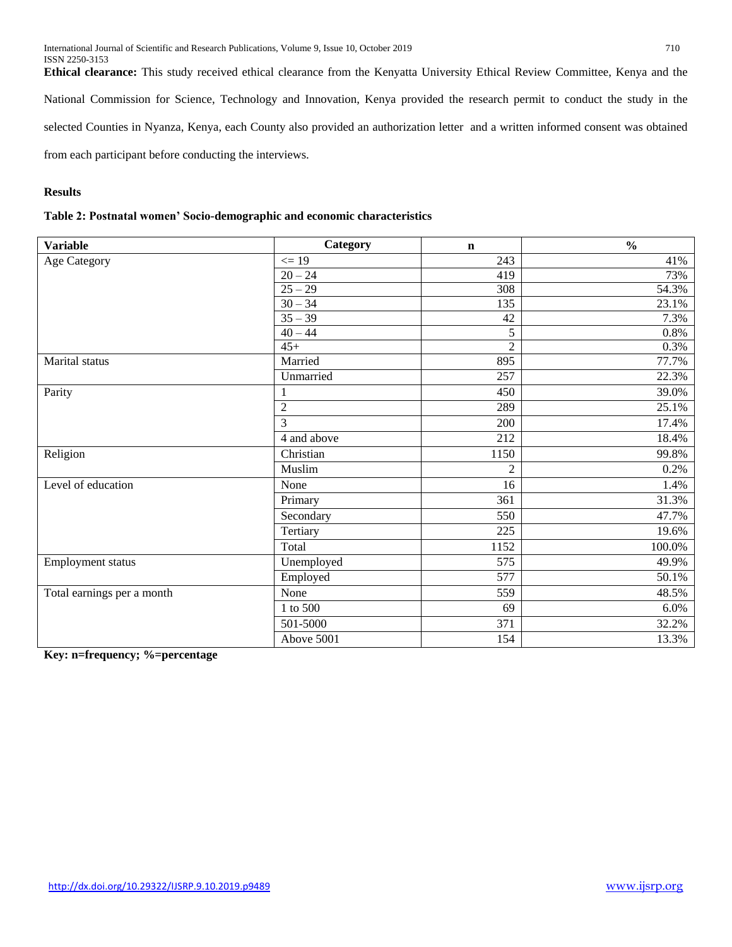**Ethical clearance:** This study received ethical clearance from the Kenyatta University Ethical Review Committee, Kenya and the National Commission for Science, Technology and Innovation, Kenya provided the research permit to conduct the study in the selected Counties in Nyanza, Kenya, each County also provided an authorization letter and a written informed consent was obtained from each participant before conducting the interviews.

# **Results**

| Table 2: Postnatal women' Socio-demographic and economic characteristics |  |
|--------------------------------------------------------------------------|--|
|--------------------------------------------------------------------------|--|

| <b>Variable</b>            | Category       | $\mathbf n$    | $\frac{0}{0}$ |
|----------------------------|----------------|----------------|---------------|
| <b>Age Category</b>        | $\leq$ 19      | 243            | 41%           |
|                            | $20 - 24$      | 419            | 73%           |
|                            | $25 - 29$      | 308            | 54.3%         |
|                            | $30 - 34$      | 135            | 23.1%         |
|                            | $35 - 39$      | 42             | 7.3%          |
|                            | $40 - 44$      | 5              | 0.8%          |
|                            | $45+$          | $\overline{2}$ | 0.3%          |
| Marital status             | Married        | 895            | 77.7%         |
|                            | Unmarried      | 257            | 22.3%         |
| Parity                     |                | 450            | 39.0%         |
|                            | $\sqrt{2}$     | 289            | 25.1%         |
|                            | 3              | 200            | 17.4%         |
|                            | 4 and above    | 212            | 18.4%         |
| Religion                   | Christian      | 1150           | 99.8%         |
|                            | Muslim         | $\overline{2}$ | 0.2%          |
| Level of education         | None           | 16             | 1.4%          |
|                            | Primary        | 361            | 31.3%         |
|                            | Secondary      | 550            | 47.7%         |
|                            | Tertiary       | 225            | 19.6%         |
|                            | Total          | 1152           | 100.0%        |
| Employment status          | Unemployed     | 575            | 49.9%         |
|                            | Employed       | 577            | 50.1%         |
| Total earnings per a month | None           | 559            | 48.5%         |
|                            | $1$ to $500\,$ | 69             | 6.0%          |
|                            | 501-5000       | 371            | 32.2%         |
|                            | Above 5001     | 154            | 13.3%         |

**Key: n=frequency; %=percentage**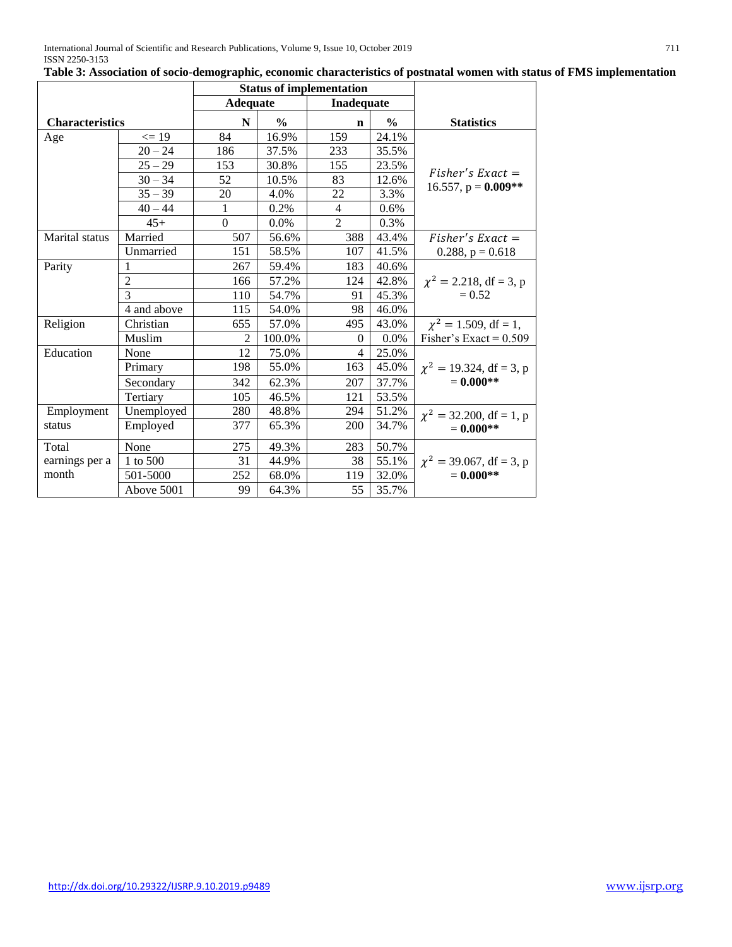|                        |                | <b>Status of implementation</b> |               |                |               |                               |
|------------------------|----------------|---------------------------------|---------------|----------------|---------------|-------------------------------|
|                        |                | <b>Adequate</b>                 |               | Inadequate     |               |                               |
| <b>Characteristics</b> |                | N                               | $\frac{0}{0}$ | $\mathbf n$    | $\frac{6}{9}$ | <b>Statistics</b>             |
| Age                    | $\leq$ 19      | 84                              | 16.9%         | 159            | 24.1%         |                               |
|                        | $20 - 24$      | 186                             | 37.5%         | 233            | 35.5%         |                               |
|                        | $25 - 29$      | 153                             | 30.8%         | 155            | 23.5%         | $Fisher's Exact =$            |
|                        | $30 - 34$      | 52                              | 10.5%         | 83             | 12.6%         | 16.557, $p = 0.009**$         |
|                        | $35 - 39$      | 20                              | 4.0%          | 22             | 3.3%          |                               |
|                        | $40 - 44$      | 1                               | 0.2%          | $\overline{4}$ | 0.6%          |                               |
|                        | $45+$          | $\overline{0}$                  | $0.0\%$       | $\overline{2}$ | 0.3%          |                               |
| Marital status         | Married        | 507                             | 56.6%         | 388            | 43.4%         | $Fisher's Exact =$            |
|                        | Unmarried      | 151                             | 58.5%         | 107            | 41.5%         | 0.288, $p = 0.618$            |
| Parity                 |                | 267                             | 59.4%         | 183            | 40.6%         |                               |
|                        | $\overline{2}$ | 166                             | 57.2%         | 124            | 42.8%         | $\chi^2 = 2.218$ , df = 3, p  |
|                        | 3              | 110                             | 54.7%         | 91             | 45.3%         | $= 0.52$                      |
|                        | 4 and above    | 115                             | 54.0%         | 98             | 46.0%         |                               |
| Religion               | Christian      | 655                             | 57.0%         | 495            | 43.0%         | $\chi^2 = 1.509$ , df = 1,    |
|                        | Muslim         | $\overline{2}$                  | 100.0%        | $\Omega$       | 0.0%          | Fisher's Exact = $0.509$      |
| Education              | None           | 12                              | 75.0%         | 4              | 25.0%         |                               |
|                        | Primary        | 198                             | 55.0%         | 163            | 45.0%         | $\chi^2 = 19.324$ , df = 3, p |
|                        | Secondary      | 342                             | 62.3%         | 207            | 37.7%         | $= 0.000$ **                  |
|                        | Tertiary       | 105                             | 46.5%         | 121            | 53.5%         |                               |
| Employment             | Unemployed     | 280                             | 48.8%         | 294            | 51.2%         | $\chi^2$ = 32.200, df = 1, p  |
| status                 | Employed       | 377                             | 65.3%         | <b>200</b>     | 34.7%         | $= 0.000$ **                  |
| Total                  | None           | 275                             | 49.3%         | 283            | 50.7%         |                               |
| earnings per a         | 1 to 500       | 31                              | 44.9%         | 38             | 55.1%         | $\chi^2$ = 39.067, df = 3, p  |
| month                  | 501-5000       | 252                             | 68.0%         | 119            | 32.0%         | $= 0.000$ **                  |
|                        | Above 5001     | 99                              | 64.3%         | 55             | 35.7%         |                               |

# **Table 3: Association of socio-demographic, economic characteristics of postnatal women with status of FMS implementation**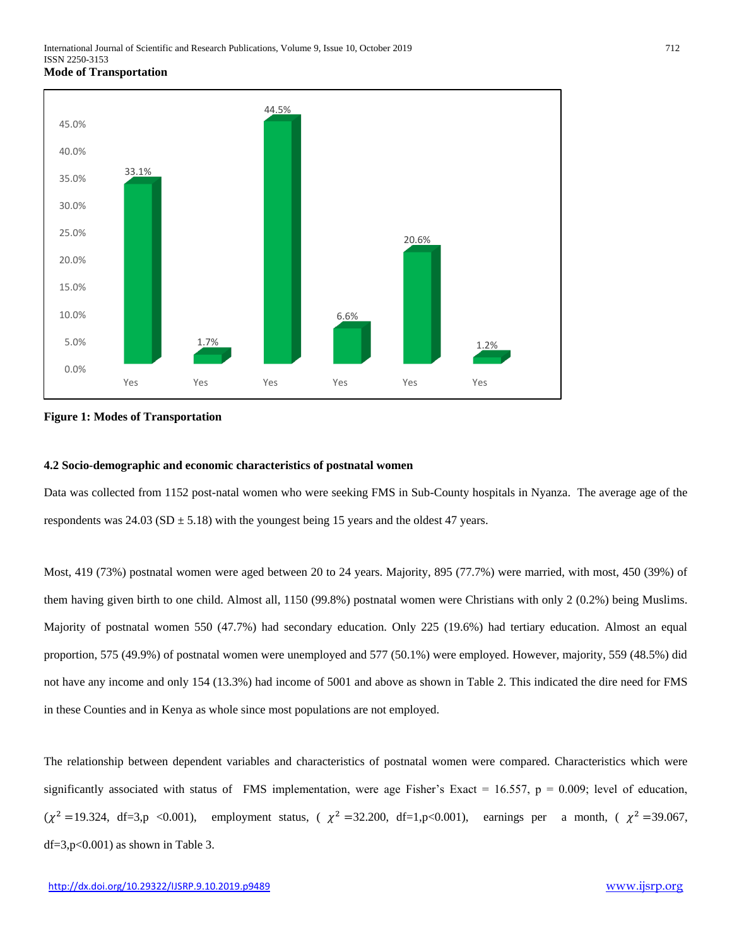

**Figure 1: Modes of Transportation**

## **4.2 Socio-demographic and economic characteristics of postnatal women**

Data was collected from 1152 post-natal women who were seeking FMS in Sub-County hospitals in Nyanza. The average age of the respondents was  $24.03$  (SD  $\pm$  5.18) with the youngest being 15 years and the oldest 47 years.

Most, 419 (73%) postnatal women were aged between 20 to 24 years. Majority, 895 (77.7%) were married, with most, 450 (39%) of them having given birth to one child. Almost all, 1150 (99.8%) postnatal women were Christians with only 2 (0.2%) being Muslims. Majority of postnatal women 550 (47.7%) had secondary education. Only 225 (19.6%) had tertiary education. Almost an equal proportion, 575 (49.9%) of postnatal women were unemployed and 577 (50.1%) were employed. However, majority, 559 (48.5%) did not have any income and only 154 (13.3%) had income of 5001 and above as shown in Table 2. This indicated the dire need for FMS in these Counties and in Kenya as whole since most populations are not employed.

The relationship between dependent variables and characteristics of postnatal women were compared. Characteristics which were significantly associated with status of FMS implementation, were age Fisher's Exact = 16.557,  $p = 0.009$ ; level of education,  $(\chi^2 = 19.324, df = 3, p \le 0.001)$ , employment status,  $(\chi^2 = 32.200, df = 1, p \le 0.001)$ , earnings per a month,  $(\chi^2 = 39.067,$  $df = 3, p < 0.001$  as shown in Table 3.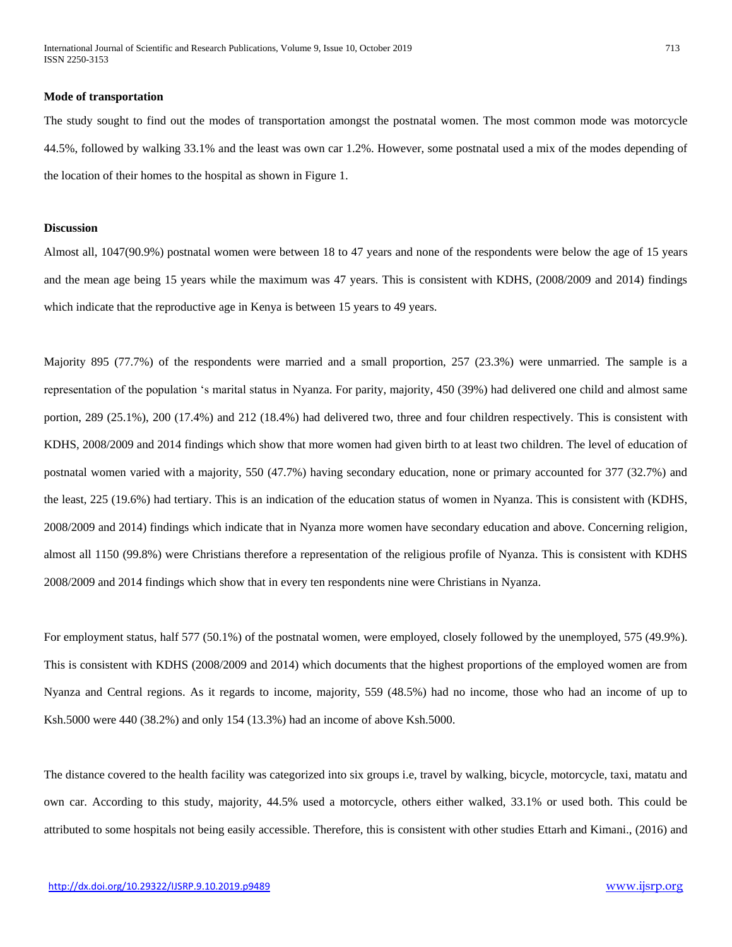International Journal of Scientific and Research Publications, Volume 9, Issue 10, October 2019 713 ISSN 2250-3153

## **Mode of transportation**

The study sought to find out the modes of transportation amongst the postnatal women. The most common mode was motorcycle 44.5%, followed by walking 33.1% and the least was own car 1.2%. However, some postnatal used a mix of the modes depending of the location of their homes to the hospital as shown in Figure 1.

## **Discussion**

Almost all, 1047(90.9%) postnatal women were between 18 to 47 years and none of the respondents were below the age of 15 years and the mean age being 15 years while the maximum was 47 years. This is consistent with KDHS, (2008/2009 and 2014) findings which indicate that the reproductive age in Kenya is between 15 years to 49 years.

Majority 895 (77.7%) of the respondents were married and a small proportion, 257 (23.3%) were unmarried. The sample is a representation of the population 's marital status in Nyanza. For parity, majority, 450 (39%) had delivered one child and almost same portion, 289 (25.1%), 200 (17.4%) and 212 (18.4%) had delivered two, three and four children respectively. This is consistent with KDHS, 2008/2009 and 2014 findings which show that more women had given birth to at least two children. The level of education of postnatal women varied with a majority, 550 (47.7%) having secondary education, none or primary accounted for 377 (32.7%) and the least, 225 (19.6%) had tertiary. This is an indication of the education status of women in Nyanza. This is consistent with (KDHS, 2008/2009 and 2014) findings which indicate that in Nyanza more women have secondary education and above. Concerning religion, almost all 1150 (99.8%) were Christians therefore a representation of the religious profile of Nyanza. This is consistent with KDHS 2008/2009 and 2014 findings which show that in every ten respondents nine were Christians in Nyanza.

For employment status, half 577 (50.1%) of the postnatal women, were employed, closely followed by the unemployed, 575 (49.9%). This is consistent with KDHS (2008/2009 and 2014) which documents that the highest proportions of the employed women are from Nyanza and Central regions. As it regards to income, majority, 559 (48.5%) had no income, those who had an income of up to Ksh.5000 were 440 (38.2%) and only 154 (13.3%) had an income of above Ksh.5000.

The distance covered to the health facility was categorized into six groups i.e, travel by walking, bicycle, motorcycle, taxi, matatu and own car. According to this study, majority, 44.5% used a motorcycle, others either walked, 33.1% or used both. This could be attributed to some hospitals not being easily accessible. Therefore, this is consistent with other studies Ettarh and Kimani., (2016) and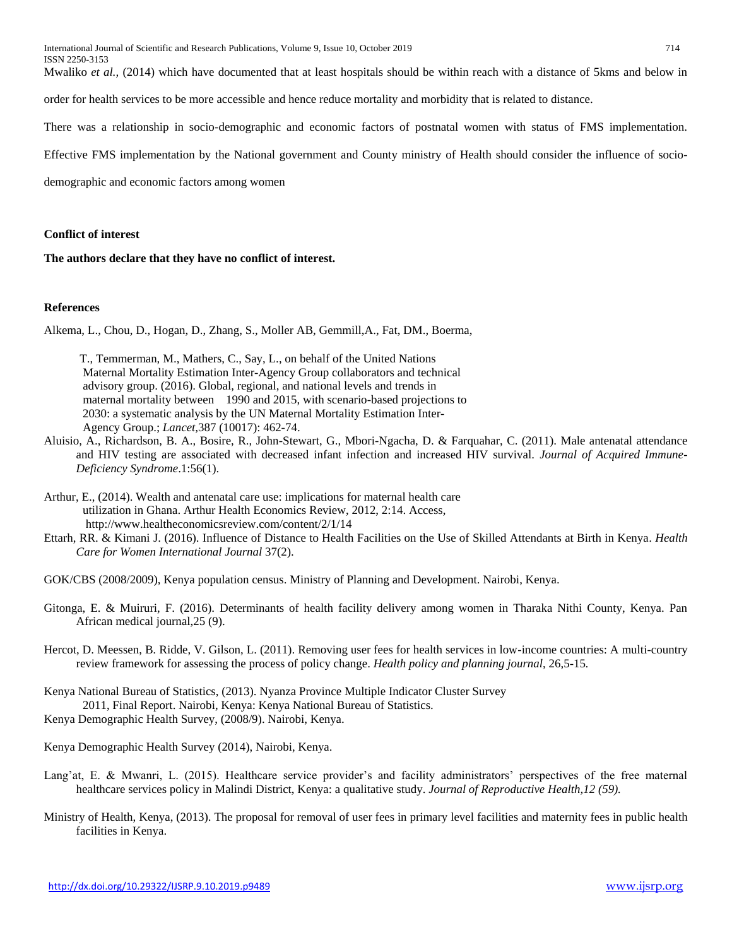International Journal of Scientific and Research Publications, Volume 9, Issue 10, October 2019 714 ISSN 2250-3153

Mwaliko *et al.,* (2014) which have documented that at least hospitals should be within reach with a distance of 5kms and below in

order for health services to be more accessible and hence reduce mortality and morbidity that is related to distance.

There was a relationship in socio-demographic and economic factors of postnatal women with status of FMS implementation.

Effective FMS implementation by the National government and County ministry of Health should consider the influence of socio-

demographic and economic factors among women

## **Conflict of interest**

**The authors declare that they have no conflict of interest.**

## **References**

Alkema, L., Chou, D., Hogan, D., Zhang, S., Moller AB, Gemmill,A., Fat, DM., Boerma,

 T., Temmerman, M., Mathers, C., Say, L., on behalf of the United Nations Maternal Mortality Estimation Inter-Agency Group collaborators and technical advisory group. (2016). Global, regional, and national levels and trends in maternal mortality between 1990 and 2015, with scenario-based projections to 2030: a systematic analysis by the UN Maternal Mortality Estimation Inter- Agency Group.; *Lancet,*387 (10017): 462-74.

- Aluisio, A., Richardson, B. A., Bosire, R., John-Stewart, G., Mbori-Ngacha, D. & Farquahar, C. (2011). Male antenatal attendance and HIV testing are associated with decreased infant infection and increased HIV survival. *Journal of Acquired Immune-Deficiency Syndrome*.1:56(1).
- Arthur, E., (2014). Wealth and antenatal care use: implications for maternal health care utilization in Ghana. Arthur Health Economics Review, 2012, 2:14. Access, http://www.healtheconomicsreview.com/content/2/1/14
- Ettarh, RR. & Kimani J. (2016). Influence of Distance to Health Facilities on the Use of Skilled Attendants at Birth in Kenya. *Health Care for Women International Journal* 37(2).

GOK/CBS (2008/2009), Kenya population census. Ministry of Planning and Development. Nairobi, Kenya.

- Gitonga, E. & Muiruri, F. (2016). Determinants of health facility delivery among women in Tharaka Nithi County, Kenya. Pan African medical journal,25 (9).
- Hercot, D. Meessen, B*.* Ridde, V. Gilson, L. (2011). Removing user fees for health services in low-income countries: A multi-country review framework for assessing the process of policy change. *Health policy and planning journal*, 26,5*-*15*.*
- Kenya National Bureau of Statistics, (2013). Nyanza Province Multiple Indicator Cluster Survey 2011, Final Report. Nairobi, Kenya: Kenya National Bureau of Statistics. Kenya Demographic Health Survey, (2008/9). Nairobi, Kenya.

Kenya Demographic Health Survey (2014), Nairobi, Kenya.

- Lang'at, E. & Mwanri, L. (2015). Healthcare service provider's and facility administrators' perspectives of the free maternal healthcare services policy in Malindi District, Kenya: a qualitative study. *Journal of Reproductive Health,12 (59).*
- Ministry of Health, Kenya, (2013). The proposal for removal of user fees in primary level facilities and maternity fees in public health facilities in Kenya.